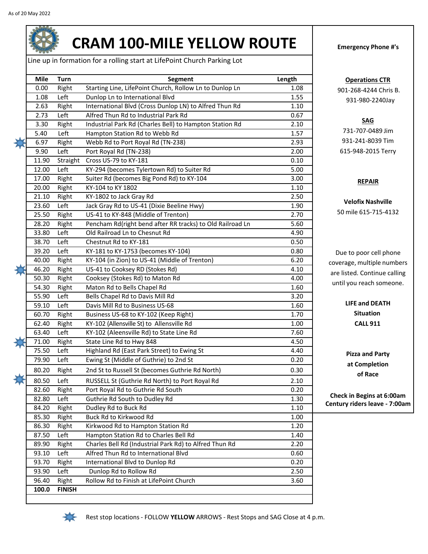

## **CRAM 100-MILE YELLOW ROUTE Emergency Phone #'s**

Line up in formation for a rolling start at LifePoint Church Parking Lot

| 0.00<br>1.08<br>2.63<br>2.73<br>3.30<br>5.40<br>6.97 | Right<br>Left<br>Right<br>Left<br>Right | Starting Line, LifePoint Church, Rollow Ln to Dunlop Ln<br>Dunlop Ln to International Blvd<br>International Blvd (Cross Dunlop LN) to Alfred Thun Rd | 1.08<br>1.55 |
|------------------------------------------------------|-----------------------------------------|------------------------------------------------------------------------------------------------------------------------------------------------------|--------------|
|                                                      |                                         |                                                                                                                                                      |              |
|                                                      |                                         |                                                                                                                                                      |              |
|                                                      |                                         |                                                                                                                                                      | 1.10         |
|                                                      |                                         | Alfred Thun Rd to Industrial Park Rd                                                                                                                 | 0.67         |
|                                                      |                                         | Industrial Park Rd (Charles Bell) to Hampton Station Rd                                                                                              | 2.10         |
|                                                      | Left                                    | Hampton Station Rd to Webb Rd                                                                                                                        | 1.57         |
|                                                      | Right                                   | Webb Rd to Port Royal Rd (TN-238)                                                                                                                    | 2.93         |
| 9.90                                                 | Left                                    | Port Royal Rd (TN-238)                                                                                                                               | 2.00         |
| 11.90                                                | Straight                                | Cross US-79 to KY-181                                                                                                                                | 0.10         |
| 12.00                                                | Left                                    | KY-294 (becomes Tylertown Rd) to Suiter Rd                                                                                                           | 5.00         |
| 17.00                                                | Right                                   | Suiter Rd (becomes Big Pond Rd) to KY-104                                                                                                            | 3.00         |
| 20.00                                                | Right                                   | KY-104 to KY 1802                                                                                                                                    | 1.10         |
| 21.10                                                | Right                                   | KY-1802 to Jack Gray Rd                                                                                                                              | 2.50         |
| 23.60                                                | Left                                    | Jack Gray Rd to US-41 (Dixie Beeline Hwy)                                                                                                            | 1.90         |
| 25.50                                                | Right                                   | US-41 to KY-848 (Middle of Trenton)                                                                                                                  | 2.70         |
| 28.20                                                | Right                                   | Pencham Rd(right bend after RR tracks) to Old Railroad Ln                                                                                            | 5.60         |
| 33.80                                                | Left                                    | Old Railroad Ln to Chesnut Rd                                                                                                                        | 4.90         |
| 38.70                                                | Left                                    | Chestnut Rd to KY-181                                                                                                                                | 0.50         |
| 39.20                                                | Left                                    | KY-181 to KY-1753 (becomes KY-104)                                                                                                                   | 0.80         |
| 40.00                                                | Right                                   | KY-104 (in Zion) to US-41 (Middle of Trenton)                                                                                                        | 6.20         |
| 46.20                                                | Right                                   | US-41 to Cooksey RD (Stokes Rd)                                                                                                                      | 4.10         |
| 50.30                                                | Right                                   | Cooksey (Stokes Rd) to Maton Rd                                                                                                                      | 4.00         |
| 54.30                                                | Right                                   | Maton Rd to Bells Chapel Rd                                                                                                                          | 1.60         |
| 55.90                                                | Left                                    | Bells Chapel Rd to Davis Mill Rd                                                                                                                     | 3.20         |
| 59.10                                                | Left                                    | Davis Mill Rd to Business US-68                                                                                                                      | 1.60         |
| 60.70                                                | Right                                   | Business US-68 to KY-102 (Keep Right)                                                                                                                | 1.70         |
| 62.40                                                | Right                                   | KY-102 (Allensville St) to Allensville Rd                                                                                                            | 1.00         |
| 63.40                                                | Left                                    | KY-102 (Aleensville Rd) to State Line Rd                                                                                                             | 7.60         |
| 71.00                                                | Right                                   | State Line Rd to Hwy 848                                                                                                                             | 4.50         |
| 75.50                                                | Left                                    | Highland Rd (East Park Street) to Ewing St                                                                                                           | 4.40         |
| 79.90                                                | Left                                    | Ewing St (Middle of Guthrie) to 2nd St                                                                                                               | 0.20         |
| 80.20                                                | Right                                   | 2nd St to Russell St (becomes Guthrie Rd North)                                                                                                      | 0.30         |
| 80.50                                                | Left                                    | RUSSELL St (Guthrie Rd North) to Port Royal Rd                                                                                                       | 2.10         |
| 82.60                                                | Right                                   | Port Royal Rd to Guthrie Rd South                                                                                                                    | 0.20         |
| 82.80                                                | Left                                    | Guthrie Rd South to Dudley Rd                                                                                                                        | 1.30         |
| 84.20                                                | Right                                   | Dudley Rd to Buck Rd                                                                                                                                 | 1.10         |
| 85.30                                                | Right                                   | Buck Rd to Kirkwood Rd                                                                                                                               | 1.00         |
| 86.30                                                | Right                                   | Kirkwood Rd to Hampton Station Rd                                                                                                                    | 1.20         |
| 87.50                                                | Left                                    | Hampton Station Rd to Charles Bell Rd                                                                                                                | 1.40         |
| 89.90                                                | Right                                   | Charles Bell Rd (Industrial Park Rd) to Alfred Thun Rd                                                                                               | 2.20         |
| 93.10                                                | Left                                    | Alfred Thun Rd to International Blvd                                                                                                                 | 0.60         |
| 93.70                                                | Right                                   | International Blvd to Dunlop Rd                                                                                                                      | 0.20         |
| 93.90                                                | Left                                    | Dunlop Rd to Rollow Rd                                                                                                                               | 2.50         |
| 96.40                                                | Right                                   | Rollow Rd to Finish at LifePoint Church                                                                                                              | 3.60         |

## **Operations CTR**

901-268-4244 Chris B. 931-980-2240Jay

## **SAG**

731-707-0489 Jim 931-241-8039 Tim 615-948-2015 Terry

## **REPAIR**

**Velofix Nashville** 50 mile 615-715-4132

Due to poor cell phone coverage, multiple numbers are listed. Continue calling until you reach someone.

> **LIFE and DEATH Situation CALL 911**

**Pizza and Party at Completion of Race**

**Check in Begins at 6:00am Century riders leave - 7:00am**



Rest stop locations - FOLLOW **YELLOW** ARROWS - Rest Stops and SAG Close at 4 p.m.